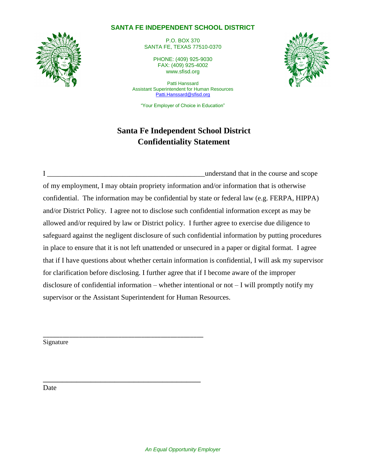### **SANTA FE INDEPENDENT SCHOOL DISTRICT**

P.O. BOX 370 SANTA FE, TEXAS 77510-0370

PHONE: (409) 925-9030 FAX: (409) 925-4002 www.sfisd.org

Patti Hanssard Assistant Superintendent for Human Resources [Patti.Hanssard@sfisd.org](mailto:Patti.Hanssard@sfisd.org)

"Your Employer of Choice in Education"

# **Santa Fe Independent School District Confidentiality Statement**



I Let understand that in the course and scope in the course and scope in the course and scope of my employment, I may obtain propriety information and/or information that is otherwise confidential. The information may be confidential by state or federal law (e.g. FERPA, HIPPA) and/or District Policy. I agree not to disclose such confidential information except as may be allowed and/or required by law or District policy. I further agree to exercise due diligence to safeguard against the negligent disclosure of such confidential information by putting procedures in place to ensure that it is not left unattended or unsecured in a paper or digital format. I agree that if I have questions about whether certain information is confidential, I will ask my supervisor for clarification before disclosing. I further agree that if I become aware of the improper disclosure of confidential information – whether intentional or not – I will promptly notify my supervisor or the Assistant Superintendent for Human Resources.

Signature

\_\_\_\_\_\_\_\_\_\_\_\_\_\_\_\_\_\_\_\_\_\_\_\_\_\_\_\_\_\_\_\_\_\_\_\_\_\_\_\_\_\_\_\_\_\_\_\_\_

\_\_\_\_\_\_\_\_\_\_\_\_\_\_\_\_\_\_\_\_\_\_\_\_\_\_\_\_\_\_\_\_\_

Date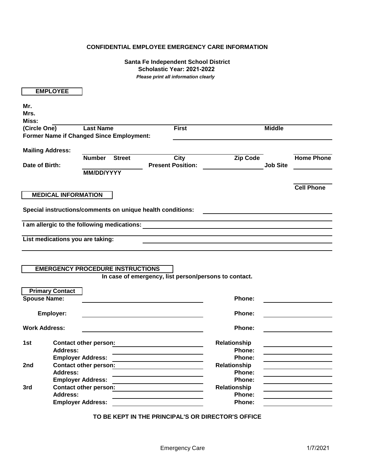### **CONFIDENTIAL EMPLOYEE EMERGENCY CARE INFORMATION**

#### **Santa Fe Independent School District Scholastic Year: 2021-2022** *Please print all information clearly*

|                         | <b>EMPLOYEE</b>                                            |                   |               |                          |                                                                                                                                                                                                                                      |                 |                   |
|-------------------------|------------------------------------------------------------|-------------------|---------------|--------------------------|--------------------------------------------------------------------------------------------------------------------------------------------------------------------------------------------------------------------------------------|-----------------|-------------------|
| Mr.                     |                                                            |                   |               |                          |                                                                                                                                                                                                                                      |                 |                   |
| Mrs.                    |                                                            |                   |               |                          |                                                                                                                                                                                                                                      |                 |                   |
| Miss:                   |                                                            |                   |               |                          |                                                                                                                                                                                                                                      |                 |                   |
| (Circle One)            |                                                            | <b>Last Name</b>  |               | <b>First</b>             |                                                                                                                                                                                                                                      | <b>Middle</b>   |                   |
|                         | Former Name if Changed Since Employment:                   |                   |               |                          |                                                                                                                                                                                                                                      |                 |                   |
|                         |                                                            |                   |               |                          |                                                                                                                                                                                                                                      |                 |                   |
| <b>Mailing Address:</b> |                                                            |                   |               |                          |                                                                                                                                                                                                                                      |                 |                   |
|                         |                                                            | <b>Number</b>     | <b>Street</b> | <b>City</b>              | Zip Code                                                                                                                                                                                                                             |                 | <b>Home Phone</b> |
| Date of Birth:          |                                                            |                   |               | <b>Present Position:</b> |                                                                                                                                                                                                                                      | <b>Job Site</b> |                   |
|                         |                                                            | <b>MM/DD/YYYY</b> |               |                          |                                                                                                                                                                                                                                      |                 |                   |
|                         |                                                            |                   |               |                          |                                                                                                                                                                                                                                      |                 |                   |
|                         |                                                            |                   |               |                          |                                                                                                                                                                                                                                      |                 | <b>Cell Phone</b> |
|                         | <b>MEDICAL INFORMATION</b>                                 |                   |               |                          |                                                                                                                                                                                                                                      |                 |                   |
|                         |                                                            |                   |               |                          |                                                                                                                                                                                                                                      |                 |                   |
|                         | Special instructions/comments on unique health conditions: |                   |               |                          |                                                                                                                                                                                                                                      |                 |                   |
|                         |                                                            |                   |               |                          |                                                                                                                                                                                                                                      |                 |                   |
|                         |                                                            |                   |               |                          | I am allergic to the following medications: <b>All amount of the set of the set of the set of the set of the set of the set of the set of the set of the set of the set of the set of the set of the set of the set of the set o</b> |                 |                   |
|                         |                                                            |                   |               |                          |                                                                                                                                                                                                                                      |                 |                   |
|                         | List medications you are taking:                           |                   |               |                          |                                                                                                                                                                                                                                      |                 |                   |
|                         |                                                            |                   |               |                          |                                                                                                                                                                                                                                      |                 |                   |
|                         |                                                            |                   |               |                          |                                                                                                                                                                                                                                      |                 |                   |
|                         |                                                            |                   |               |                          |                                                                                                                                                                                                                                      |                 |                   |
|                         | <b>EMERGENCY PROCEDURE INSTRUCTIONS</b>                    |                   |               |                          |                                                                                                                                                                                                                                      |                 |                   |
|                         |                                                            |                   |               |                          | In case of emergency, list person/persons to contact.                                                                                                                                                                                |                 |                   |
|                         |                                                            |                   |               |                          |                                                                                                                                                                                                                                      |                 |                   |
| <b>Spouse Name:</b>     | <b>Primary Contact</b>                                     |                   |               |                          |                                                                                                                                                                                                                                      |                 |                   |
|                         |                                                            |                   |               |                          | Phone:                                                                                                                                                                                                                               |                 |                   |
|                         | <b>Employer:</b>                                           |                   |               |                          | Phone:                                                                                                                                                                                                                               |                 |                   |
|                         |                                                            |                   |               |                          |                                                                                                                                                                                                                                      |                 |                   |
| <b>Work Address:</b>    |                                                            |                   |               |                          | Phone:                                                                                                                                                                                                                               |                 |                   |
|                         |                                                            |                   |               |                          |                                                                                                                                                                                                                                      |                 |                   |
| 1st                     | <b>Contact other person:</b>                               |                   |               |                          | Relationship                                                                                                                                                                                                                         |                 |                   |
|                         | <b>Address:</b>                                            |                   |               |                          | Phone:                                                                                                                                                                                                                               |                 |                   |
|                         | <b>Employer Address:</b>                                   |                   |               |                          | Phone:                                                                                                                                                                                                                               |                 |                   |
| 2nd                     | <b>Contact other person:</b>                               |                   |               |                          | Relationship                                                                                                                                                                                                                         |                 |                   |
|                         | <b>Address:</b>                                            |                   |               |                          | Phone:                                                                                                                                                                                                                               |                 |                   |
|                         | <b>Employer Address:</b>                                   |                   |               |                          | Phone:                                                                                                                                                                                                                               |                 |                   |
| 3rd                     | <b>Contact other person:</b>                               |                   |               |                          | Relationship                                                                                                                                                                                                                         |                 |                   |
|                         | <b>Address:</b>                                            |                   |               |                          | Phone:                                                                                                                                                                                                                               |                 |                   |
|                         | <b>Employer Address:</b>                                   |                   |               |                          | Phone:                                                                                                                                                                                                                               |                 |                   |
|                         |                                                            |                   |               |                          |                                                                                                                                                                                                                                      |                 |                   |

**TO BE KEPT IN THE PRINCIPAL'S OR DIRECTOR'S OFFICE**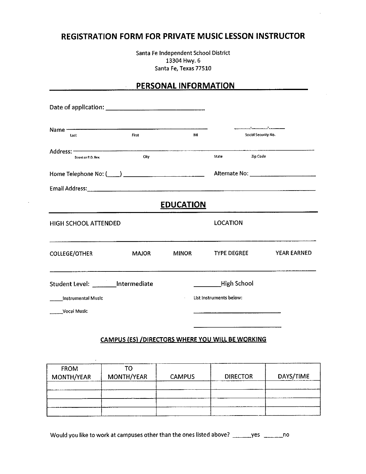### **REGISTRATION FORM FOR PRIVATE MUSIC LESSON INSTRUCTOR**

Santa Fe Independent School District 13304 Hwy. 6 Santa Fe, Texas 77510

### PERSONAL INFORMATION

 $\ddot{\phantom{a}}$ 

| Name <b>Committee Committee Committee Committee Committee</b><br>Last                | First        | M                |                         | Social Security No. |
|--------------------------------------------------------------------------------------|--------------|------------------|-------------------------|---------------------|
| Address: -<br>Street or P.O. Box                                                     | City         |                  | <b>State</b>            | Zip Code            |
|                                                                                      |              |                  |                         |                     |
| Email Address: www.communication.com/watch?communication.com/watch?communication.com |              |                  |                         |                     |
|                                                                                      |              | <b>EDUCATION</b> |                         |                     |
| HIGH SCHOOL ATTENDED                                                                 |              |                  | <b>LOCATION</b>         |                     |
| <b>COLLEGE/OTHER</b>                                                                 | <b>MAJOR</b> | <b>MINOR</b>     | <b>TYPE DEGREE</b>      | <b>YEAR EARNED</b>  |
| Student Level: _______ Intermediate                                                  |              |                  | <b>High School</b>      |                     |
| <b>Instrumental Music</b>                                                            |              |                  | List instruments below: |                     |
| <b>Vocal Music</b>                                                                   |              |                  |                         |                     |

### CAMPUS (ES) /DIRECTORS WHERE YOU WILL BE WORKING

| <b>FROM</b><br>MONTH/YEAR | тο<br>MONTH/YEAR | <b>CAMPUS</b> | <b>DIRECTOR</b> | DAYS/TIME |
|---------------------------|------------------|---------------|-----------------|-----------|
|                           |                  |               |                 |           |
|                           |                  |               |                 |           |
|                           |                  |               |                 |           |

Would you like to work at campuses other than the ones listed above? \_\_\_\_\_\_yes \_\_\_\_\_\_\_no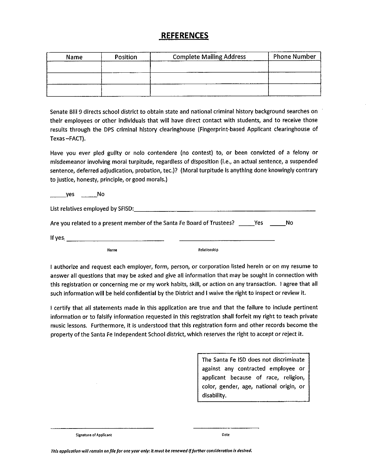### **REFERENCES**

| <b>Name</b> | Position | <b>Complete Mailing Address</b> | <b>Phone Number</b> |
|-------------|----------|---------------------------------|---------------------|
|             |          |                                 |                     |
|             |          |                                 |                     |
|             |          |                                 |                     |
|             |          |                                 |                     |

Senate Bill 9 directs school district to obtain state and national criminal history background searches on their employees or other individuals that will have direct contact with students, and to receive those results through the DPS criminal history clearinghouse (Fingerprint-based Applicant clearinghouse of Texas-FACT).

Have you ever pled guilty or nolo contendere (no contest) to, or been convicted of a felony or misdemeanor involving moral turpitude, regardless of disposition (i.e., an actual sentence, a suspended sentence, deferred adjudication, probation, tec.)? (Moral turpitude is anything done knowingly contrary to justice, honesty, principle, or good morals.)

yes No

List relatives employed by SFISD: Manual Manual Manual Manual Manual Manual Manual

| Are you related to a present member of the Santa Fe Board of Trustees? | Yes | No. |
|------------------------------------------------------------------------|-----|-----|
|------------------------------------------------------------------------|-----|-----|

If yes

**Name** 

Relationship

I authorize and request each employer, form, person, or corporation listed herein or on my resume to answer all questions that may be asked and give all information that may be sought in connection with this registration or concerning me or my work habits, skill, or action on any transaction. I agree that all such information will be held confidential by the District and I waive the right to inspect or review it.

I certify that all statements made in this application are true and that the failure to include pertinent information or to falsify information requested in this registration shall forfeit my right to teach private music lessons. Furthermore, it is understood that this registration form and other records become the property of the Santa Fe Independent School district, which reserves the right to accept or reject it.

> The Santa Fe ISD does not discriminate against any contracted employee or applicant because of race, religion, color, gender, age, national origin, or disability.

**Signature of Applicant** 

Date

This application will remain on file for one year only: it must be renewed if further consideration is desired.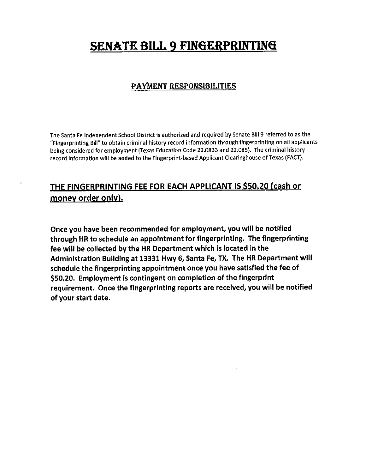# **SENATE BILL 9 FINGERPRINTING**

### PAYMENT RESPONSIBILITIES

The Santa Fe independent School District is authorized and required by Senate Bill 9 referred to as the "Fingerprinting Bill" to obtain criminal history record information through fingerprinting on all applicants being considered for employment (Texas Education Code 22.0833 and 22.085). The criminal history record information will be added to the Fingerprint-based Applicant Clearinghouse of Texas (FACT).

# THE FINGERPRINTING FEE FOR EACH APPLICANT IS \$50.20 (cash or money order only).

Once you have been recommended for employment, you will be notified through HR to schedule an appointment for fingerprinting. The fingerprinting fee will be collected by the HR Department which is located in the Administration Building at 13331 Hwy 6, Santa Fe, TX. The HR Department will schedule the fingerprinting appointment once you have satisfied the fee of \$50.20. Employment is contingent on completion of the fingerprint requirement. Once the fingerprinting reports are received, you will be notified of your start date.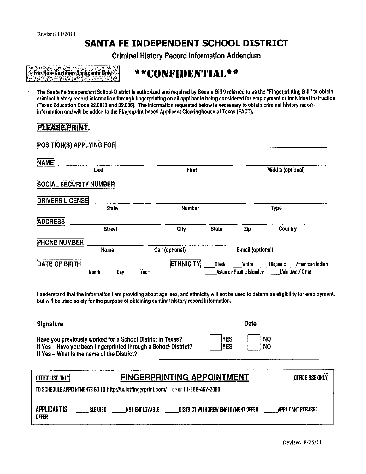# SANTA FE INDEPENDENT SCHOOL DISTRICT

**Criminal History Record Information Addendum** 

For Non-Certified Applicants Only

# \*\*CONFIDENTIAL\*\*

The Santa Fe independent School District is authorized and required by Senate Bill 9 referred to as the "Fingerprinting Bill" to obtain criminal history record information through fingerprinting on all applicants being considered for employment or individual instruction (Texas Education Code 22.0833 and 22.085). The information requested below is necessary to obtain criminal history record information and will be added to the Fingerprint-based Applicant Clearinghouse of Texas (FACT).

### **RIEASE PRINT!**

| POSITION(S) APPLYING FOR      |               |                          |              |                                    |                                                  |
|-------------------------------|---------------|--------------------------|--------------|------------------------------------|--------------------------------------------------|
| <b>NAME</b>                   | Last          | First                    |              |                                    | Middle (optional)                                |
| <b>SOCIAL SECURITY NUMBER</b> |               |                          |              |                                    |                                                  |
| <b>DRIVERS LICENSE</b>        | <b>State</b>  | Number                   |              |                                    | <b>Type</b>                                      |
| <b>ADDRESS</b>                | <b>Street</b> | City                     | <b>State</b> | Zip                                | Country                                          |
| PHONE NUMBER                  | Home          | Cell (optional)          |              | E-mail (optional)                  |                                                  |
| <b>DATE OF BIRTH</b>          | Month<br>Day  | <b>ETHNICITY</b><br>Year | Black        | White<br>Aslan or Pacific Islander | _Kispanic ____American Indian<br>Unknown / Other |

I understand that the information I am providing about age, sex, and ethnicity will not be used to determine eligibility for employment, but will be used solely for the purpose of obtaining criminal history record information.

### Signature

Have you previously worked for a School District in Texas? If Yes - Have you been fingerprinted through a School District? If Yes - What is the name of the District?

| <b>IYES</b><br>lYES | <b>NO</b><br><b>NO</b> |
|---------------------|------------------------|
|                     |                        |

Date

| <b>DEFICE USE ONLY</b> |                                                              | <b>FINGERPRINTING APPOINTMENT</b>  | <b>DEFICE USE ONLY</b> |
|------------------------|--------------------------------------------------------------|------------------------------------|------------------------|
|                        | TO SCHEDULE APPOINTMENTS GO TO http://tx.ibtfingerprint.com/ | or call 1-888-467-2080             |                        |
| APPLICANT IS:<br>OFFER | NOT EMPLOYABLE<br>CLEARED                                    | DISTRICT WITHOREW EMPLOYMENT OFFER | APPLICANT REFUSED      |